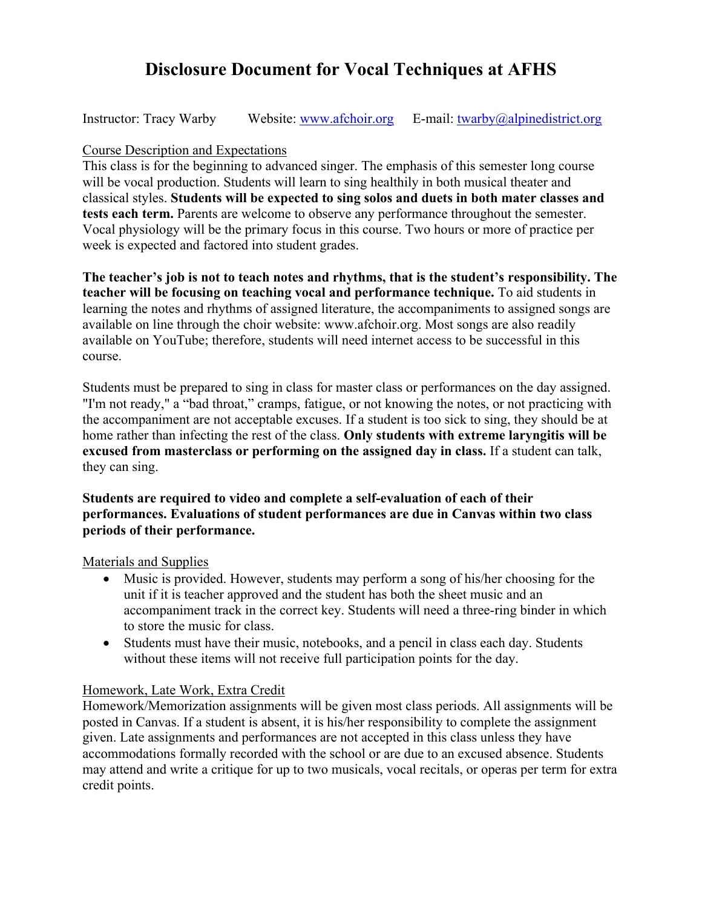# **Disclosure Document for Vocal Techniques at AFHS**

Instructor: Tracy Warby Website: www.afchoir.org E-mail: twarby@alpinedistrict.org

#### Course Description and Expectations

This class is for the beginning to advanced singer. The emphasis of this semester long course will be vocal production. Students will learn to sing healthily in both musical theater and classical styles. **Students will be expected to sing solos and duets in both mater classes and tests each term.** Parents are welcome to observe any performance throughout the semester. Vocal physiology will be the primary focus in this course. Two hours or more of practice per week is expected and factored into student grades.

**The teacher's job is not to teach notes and rhythms, that is the student's responsibility. The teacher will be focusing on teaching vocal and performance technique.** To aid students in learning the notes and rhythms of assigned literature, the accompaniments to assigned songs are available on line through the choir website: www.afchoir.org. Most songs are also readily available on YouTube; therefore, students will need internet access to be successful in this course.

Students must be prepared to sing in class for master class or performances on the day assigned. "I'm not ready," a "bad throat," cramps, fatigue, or not knowing the notes, or not practicing with the accompaniment are not acceptable excuses. If a student is too sick to sing, they should be at home rather than infecting the rest of the class. **Only students with extreme laryngitis will be excused from masterclass or performing on the assigned day in class.** If a student can talk, they can sing.

#### **Students are required to video and complete a self-evaluation of each of their performances. Evaluations of student performances are due in Canvas within two class periods of their performance.**

Materials and Supplies

- Music is provided. However, students may perform a song of his/her choosing for the unit if it is teacher approved and the student has both the sheet music and an accompaniment track in the correct key. Students will need a three-ring binder in which to store the music for class.
- Students must have their music, notebooks, and a pencil in class each day. Students without these items will not receive full participation points for the day.

## Homework, Late Work, Extra Credit

Homework/Memorization assignments will be given most class periods. All assignments will be posted in Canvas. If a student is absent, it is his/her responsibility to complete the assignment given. Late assignments and performances are not accepted in this class unless they have accommodations formally recorded with the school or are due to an excused absence. Students may attend and write a critique for up to two musicals, vocal recitals, or operas per term for extra credit points.